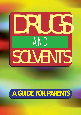

# **A GUIDE FOR PARENTS**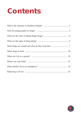# **Contents**

| Balancing it all out manufactured and all out and all out manufactured and all out manufactured and all out and all out and all out and all out and all out and all out and all out and all out and all out and all out and al |  |
|--------------------------------------------------------------------------------------------------------------------------------------------------------------------------------------------------------------------------------|--|

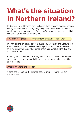# **What's the situation in Northern Ireland?**

In Northern Ireland the most commonly used illegal drugs are cannabis, cocaine, Ecstasy, amphetamine sulphate (speed), magic mushrooms and LSD. Young people may also misuse solvents or 'legal highs' (drugs which are legal to sell but not legal to sell for human consumption).

### *How many young people in Northern Ireland are taking illegal drugs?*

In 2007, a Northern Ireland survey of pupils between years 8 and 12 found that around one in five (19%) had ever used drugs or solvents. This represents a small reduction from 2003 when almost one in four (23%) said they had ever tried drugs or solvents.

However, this does not mean that they have necessarily used drugs or solvents over a long period of time nor that they regularly use drugs/solvents or will do so in the future.

*What about alcohol and tobacco?*

Alcohol and tobacco are still the most popular drugs for young people in Northern Ireland.

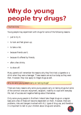# **Why do young people try drugs?**

### *The first time*

Young people may experiment with drugs for some of the following reasons:

- just to try it:
- to look and feel grown-up;
- to take a risk:
- because friends use it:
- because it's offered by friends;
- after a few drinks:
- to show off.

Many parents will remember the reasons why they first tried a cigarette or a drink when they were a teenager. These reasons are as true today as they were then. However, they now apply to illegal drugs as well.

*Why do some young people carry on taking drugs?*

There are many reasons why some young people carry on taking drugs but some of the common ones are: enjoyment, escapism, inability to cope with everyday life, lack of success and negative feelings about themselves.

Only some young people in Northern Ireland take illegal drugs on a regular basis and a few of these will become dependent on them. However, there are problems, risks and dangers involved with ALL types of drug use, and therefore it is important to talk to your children about drugs and solvents.

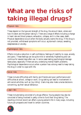# **What are the risks of taking illegal drugs?**

### *Physical risks*

These depend on the type and strength of the drug, the amount taken, where and how it's taken and the person taking it. There are a range of effects including a change in heart rate and blood pressure, exhaustion, collapse, and in a few cases, death. Physical dependence occurs when the body actually wants the drug. If the drug is not provided, withdrawal symptoms will occur, eg stomach cramps, sweating, sleeplessness or anxiety.

## *Psychological risks*

Effects include a reduction in self-confidence, feelings of inability to cope, anxiety and panic. These feelings can be quite mild or extremely frightening and can continue for several days after use. In some cases lasting psychological damage takes place, especially if there are any underlying mental health problems. Psychological dependence occurs when a person has a strong need to keep taking the drug in order to cope with life.

### *Social risks*

These include difficulties with family and friends and poor performance and difficulties at school, college or work. Drug taking can lead to involvement in anti-social activities, such as 'joy-riding'. Users may also make unwise decisions concerning, eg their sexual behaviour.

### *Legal risks*

These include being convicted of a drugs offence. Young people may also be convicted of being involved in petty crime to fund their drug taking. The resulting criminal record can affect a young person's life in many ways, including future job prospects and travel to certain countries.

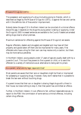### *Misuse of Drugs Act (1971)*

The possession and supplying of a drug (including giving to friends), which is described as illegal by the Misuse of Drugs Act (1971), is against the law and carries with it the definite risk of fines and/or imprisonment.

Nobody below the age of 10 in Northern Ireland can be convicted of a criminal offence. Above this age, it depends on the drugs the young person is taking or supplying. Under the Drugs Act 2005 increased sentences are available to the Courts if dealers are arrested selling drugs close to school premises.

Maximum sentences for offending against the Misuse of Drugs Act are severe.

Regular offenders, dealers and smugglers are targeted and may have all their property and goods taken off them and be imprisoned for many years. First offenders who have a drug for their own use may receive only a caution, but there may be more serious penalties.

In Northern Ireland, young people under 17 years of age are usually dealt with by a Juvenile Court. This court has powers to fine a parent or child, or to send the offender to a variety of institutions as an alternative to being sent to prison.

#### *As a parent, what are my legal responsibilities?*

Most parents are aware that their sons or daughters might be fined or imprisoned for possessing or supplying drugs. However, many don't realise that it is possible to break the law even without touching drugs.

If a parent knows that their son or daughter is sharing illegal drugs with a friend in their house, but does nothing to stop it, then that parent has committed an offence.

Further, in Northern Ireland, it is an offence to fail, without reasonable excuse, to report to the PSNI the commission of some serious criminal offences, including certain drug offences.

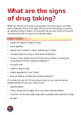# **What are the signs of drug taking?**

**IT IS** very difficult to tell when a young person first tries drugs or only takes them occasionally. Many of the 'signs' are just like the normal signs of growing up, eg being moody or distant. It's important that you don't jump to the wrong conclusions but look for some of the indicators below.

### *Possible indicators:*

- sudden and regular changes of mood;
- loss of appetite;
- gradual loss of interest in school, hobbies, sport, friends;
- increased evidence of lying or other secretive behaviour;
- money or other objects around the house 'going missing' (including the young person's formerly 'treasured possessions');
- unusually tired;
- unable to sleep at night;
- sudden appearance of new 'friends';
- bouts of talkative, excitable and overactive behaviour.

It's unlikely that you will find any actual drugs, but you may come across possible evidence of drug use. These include:

- cigarette papers;
- 'wraps' (square folds of paper which may have contained powder);
- cling film, foil and small plastic bags used to package small quantities of drugs;
- syringes.

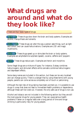# **What drugs are around and what do they look like?**

*There are four basic types of drugs:*

Depressants These drugs slow down the brain and body systems. Examples are alcohol, tranquillisers and solvents.

Hallucinogens These drugs can alter the way a person sees things, such as light and colour, and can cause hallucinations. Examples are LSD and magic mushrooms.

Stimulants These drugs speed up or stimulate the brain or body systems. Examples are amphetamine sulphate (speed), cocaine, caffeine and 'poppers'.

**Opiates** These drugs reduce pain. Examples are heroin and morphine.

Some illegal drugs are a mixture of types. For instance, Ecstasy combines hallucinogenic and stimulant effects while cannabis combines hallucinogenic and depressant effects.

Some slang names are included in this section, but these can be very localised and can change quickly. There is a danger that by using these terms with young people, parents can come across as completely out of touch or patronising.

Although the real risks of drug taking have been pointed out, it is possible to use drugs in a way that does not lead to immediate health problems or dependence, although these can't be ruled out. However, the only safe use of drugs is non-use.

Alcohol and tobacco are not included in the following section but they are still the most popular drugs for young people. They can cause serious health problems if taken on a regular basis over a long period of time and binge drinking is particularly risky for young people.

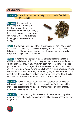## **CANNABIS**

Slang names: blow, dope, hash, wacky-backy, pot, joint, spliff, five-deal, smoke, skunk.

Description Cannabis is the most commonly used illegal drug in Northern Ireland. It is usually smoked in the form of resin (hash), a brown solid mass which is crumbled and mixed with tobacco and made into a type of cigarette called a 'joint'.



Effects Not everyone gets much effect from cannabis, and some novice users feel sick whilst others may feel anxious and guilty. Some people get mild hallucinations. The most common effects are relaxation, talkativeness and a heightened perception of music and colour.

Dangers One of the main dangers of cannabis is the state of intoxication it creates, eg like being drunk. The person may not be able to drive, cross the road or operate machinery safely. It may affect short-term memory and this could cause problems with school or college work. Cannabis use can worsen the symptoms of asthma. Heavy use of cannabis over a period of years may cause respiratory diseases like bronchitis and lung cancer. Regular use during pregnancy increases the risk of premature birth. Cannabis use has been associated with poor mental health and its use may increase the risk of developing mental illness in some users.

**Dependence** People can become psychologically dependent on cannabis for enjoyment, or coping with life. Users report symptoms of withdrawal which include decreased appetite, weight loss, lethargy, irritability, mood changes, muscle pain, sweating and insomnia.

**Other points** There is nothing 'in' cannabis which causes people to try other drugs, yet people who smoke cannabis are more likely to experiment with other illegal drugs.

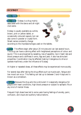## **ECSTASY**

Slang names: E.

**Description** Ecstasy is a drug mainly associated with the dance and all-night club scene.

Ecstasy is usually available as a white, brown, pink or yellow tablet, or occasionally coloured capsule, but can also come in powder or crystal form. Street names constantly change



according to the impressions/logos used on the tablets.

Effects The effects begin after about 20 minutes and can last several hours. The drug can have a calming effect with heightened perceptions of colour and sound. This is accompanied by sweating, loss of appetite, rise in heart rate and blood pressure and a stiffness in arms, legs and jaws. It also has stimulant properties. Coordination may be affected making it dangerous to drive or operate machinery under the influence of Ecstasy.

At higher or repeated doses, all these effects may be experienced more acutely.

For several days after taking the drug effects such as muscle pain, fatigue and low mood can occur. This feeling can last up to between 3 and 4 days and is known as a comedown.

**Dangers** Because the drug acts like a stimulant it is especially dangerous for people with heart conditions, high blood pressure or subject to epileptic fits or any kind of mental illness.

Frequent high doses have led to some users having feelings of anxiety, panic, confusion, and visual and auditory hallucinations.

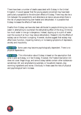There have been a number of deaths associated with Ecstasy in the United Kingdom. It would appear that the young people concerned may have been particularly susceptible to the stimulant effects of Ecstasy. There may also be a link between the susceptibility and attendance at dance venues where there is the risk of people becoming over-heated and dehydrated. It is possible that Ecstasy increases the effects of heat-stroke.

Deaths from Ecstasy use have also been attributed to people drinking too much water in attempting to counteract the dehydrating effect of the drug. Drinking too much water in one go is dangerous. Instead, sipping up to a pint of water over the course of an hour may reduce dehydration. Research into the effects of ecstasy use on the brain is ongoing. However, studies suggest that ecstasy may affect brain function, impairing memory or increasing symptoms of depression, anxiety and impulsivity.

**Dependence** Some users may become psychologically dependent. There is no physical dependence.

**Other points** This information about Ecstasy is based on the assumption that what is sold as Ecstasy, is in fact Ecstasy. However, the Trades Description Act does not cover illegal drugs, and some Ecstasy tablets contain other substances sometimes LSD and amphetamine sulphate, or household cleaners, dog worming ingredients and worse. Obviously in these cases the risks of physical and psychological harm increase.

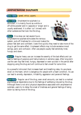## **AMPHETAMINE SULPHATE**

#### Slang names: speed, whizz, uppers.

Description Amphetamine sulphate is a stimulant. It is mainly found as a white or off-white powder sold in capsules or 'wraps' and is usually swallowed. It is often 'cut' (mixed) with other substances that look like the drug.

Effects One dose can last several hours. Amphetamine sulphate stimulates the nervous system, puts off tiredness for a time and makes the



person feel alert and confident. Users find quickly they need to take more of the drug to get the same effect. Unpleasant effects may include excessive mood swings, panic and confusion. After use people usually feel extremely tired, hungry and down.

**Dangers** Regular heavy use can increase the severity of the bad effects and can lead to feelings of paranoia and hallucinations in extreme cases. After long-term use the user may feel tired, hungry, depressed or even suicidal in the period after stopping using the drug and will continue to feel unwell for some time.

As a powerful stimulant that increases heart and breathing rates, its use places strain on the heart, which is dangerous for people with a heart condition. Its use can lead to anxiety, depression, irritability, aggression and paranoid feelings.

**Dependence** Regular use of the drug, even small amounts, can lead to a marked psychological dependence due to the feelings of wellbeing induced by the drug. Although there is not strict physical dependence associated with amphetamine sulphate, users try to delay the onset of tiredness and general feelings of being down by taking more of the drug.

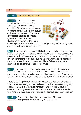#### Slang names: acid, acid-tabs, tabs, trips.

Description LSD is manufactured illegally in 'factories' in the UK and Europe by impregnating minute quantities of the drug onto small squares of blotting paper. These are then chewed or dissolved in the mouth. The squares carry attractive designs, eg patterns, symbols, and pictures of cartoon characters or film stars. Often LSD is



sold using the designs as 'trade' names. The designs change quite quickly and so a list of current names is soon out of date.

Effects LSD is an extremely powerful hallucinogen. It produces very profound psychological effects which depend on the amount taken and the feelings of the person at the time. The experience, or 'trip' which can last for up to 12 hours can vary from visions of joy and beauty to walking nightmares. Perceptions of the world become distorted. It can take a while to fully recover from the experience. There are virtually no physical effects.

**Dangers** The main danger of any hallucinogenic drug is that the experience may be damaging to someone with mental illness, or worse, may trigger a psychotic response in somebody whose condition is undiagnosed. People from a family with a history of mental illness are at particular risk if they take this drug.

Less seriously, inexperienced users can feel confused and disorientated for some time after taking the drug and may need reassurance that they are not going crazy. The risk of a 'bad trip' is increased if the user is already feeling anxious or distressed. Users may also experience something called a 'flashback' - where the 'trip' is relived without actually taking the drug. This can happen many years later.

**Dependence** A small minority of those who have used LSD become psychologically dependent. There is no physical dependence.

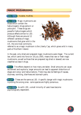# **MAGIC MUSHROOMS**

#### Slang names: mussies, mushies.

Description Magic mushrooms are those which contain the hallucinogenic drugs psilocin or psilocybin. These drugs are powerful hallucinogens which produce effects similar to LSD. Although there are around 12 different varieties of magic mushrooms that grow wild in the UK, the one most commonly



referred to as a magic mushroom is the Liberty Cap, which grows wild in many parts of Northern Ireland.

In the past, only dried and prepared magic mushrooms were illegal. The current law, which came into force on 18 July 2005, means that raw or fresh magic mushrooms, as well as those that are prepared (eg dried or stewed) are now classified as class A drugs.

Effects The effects depend on how many are taken. Small amounts can cause excitement and euphoria, larger amounts can lead to apparent distortions of shape and colour and hallucinations. There may also be feelings of nausea, dizziness, vomiting, diarrhoea and stomach pains.

**Dangers** These are the same as LSD. A specific danger with magic mushrooms is picking the wrong ones - some species are highly poisonous.

**Dependence** As with LSD, a small minority of users have become psychologically dependent.

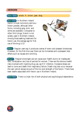### **HEROIN**

Slang names: smack, H, brown, gear, skag.

Description In Northern Ireland heroin is most commonly sold as a brown powder, although other forms, including grey, pink, and white are available. Compared to other illicit drugs, Heroin is not widely used in Northern Ireland. Among those seeking treatment for heroin use, the average age for first use of the drug is 22.



Effects Regular users say it produces a sense of warm and pleasant drowsiness. However, for the first-time user there can be immediate and unpleasant side effects such as nausea and vomiting.

**Dangers** Regular prolonged use can cause poor health due to an inadequate diet, constipation and loss of periods for women. There are the obvious health risks involved with injecting drug use, eg HIV infection. Excessive doses can lead to coma and death from respiratory failure. Death may also occur because the user cannot always be sure of the mix and strength of the heroin. There have been deaths associated with heroin use in Northern Ireland.

**Dependence** There is a high risk of both physical and psychological dependence.

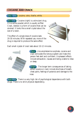## **COCAINE AND CRACK**

Slang names: cocaine, coke, charlie, white.

Description Cocaine (right) is a stimulant drug. It is a white powder which is usually sniffed. Crack, (below) is a form of cocaine that can be smoked. It looks like a small crystal about the size of a raisin.

The effect of a single dose of cocaine lasts 20-30 minutes. With repeated use, more of the drug is required to produce the same effect.



Each small crystal of crack lasts about 10-12 minutes.



Effects Like amphetamine sulphate, cocaine and crack stimulate the nervous system and make the person feel alert and confident. Unpleasant effects include exhaustion, nausea and being unable to relax or sleep.

Dangers The longer term consequences of taking either cocaine or crack include shortness of breath, chest pains, feelings of paranoia and damage to the nose.

**Dependence** There is a very high risk of psychological dependence with both drugs. There is no strict physical dependency.

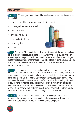# **SOLVENTS**

**Description** The range of products of this type is extensive and widely available, it includes:

- aerosol sprays (like hair spray or pain relieving sprays);
- butane gas (used as cigarette fuel);
- solvent-based glues;
- dry-cleaning fluids;
- paint and paint thinners;
- correcting fluids;
- petrol.



**Effects** Solvent sniffing is not illegal. However, it is against the law to supply or offer to supply volatile substances to anyone under the age of 18, knowing or suspecting that the product will be misused. It is also an offence to supply gas lighter refills to anyone under the age of 18. The effects of using solvents are like that of alcohol. Solvents act as a depressant and cause intoxication and occasionally hallucinations.

**Dangers** It is especially dangerous to place a plastic bag completely over the head, spray aerosol or cigarette lighter fuels directly into the mouth, have lighted cigarettes around when misusing solvents or get intoxicated in dangerous places, for example near water or alone. Solvents can also cause sudden death. They can make the heart more sensitive to the effects of adrenaline causing it to beat irregularly and sometimes stop. This is more likely if misusers are excited or exert themselves. For this reason anyone found with solvents should never be chased. It can occur with first-timers as well as regular users. Long-term regular use may also cause problems with the kidneys, bone marrow and liver.

**Dependence** Misusing solvents carries a risk of psychological dependence. Although there would appear to be no physical dependence with solvents, long-term users sometimes display mild withdrawal symptoms.

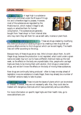## **LEGAL HIGHS**

What is a legal high? A legal high is a substance that is not controlled under the Misuse of Drugs Act and is therefore legal to possess. However, most of the substances are regulated by the Medicines Act, which makes it illegal to sell, supply or advertise them for human consumption. The substances are generally bought from 'head shops' or from internet sites



who may claim they sell them for use as bath salts, incense or plant food.

Synthetic drugs (also called designer drugs) These are drugs created by modifying the chemical structure of existing drugs or by creating a new drug that can produce effects similar to illicit drugs but which can be sold legally. The health risks will differ according to the drug.

Because many of these drugs are so new, little is known about them. As with illegal drugs, because the production is not regulated, what is sold under a given name one week may turn out to have a different chemical make-up the next week, so the effects on the body are unpredictable. Also, people who use legal highs are likely to be mixing them with alcohol, illicit drugs or prescription drugs, and we don't know the effects on the body of mixing these substances.

New drugs are continually being produced - often to keep one step ahead of legislation ie as one substance is made illegal, there may already be a number of 'modified' versions ready to take its place.

**Plant-based legal highs** These include the leaves of plants which can be smoked or chewed. However, they are not necessarily safe. Also, they could also be treated with dangerous chemicals which have potentially serious side effects.

For more information on specific legal highs and their health risks, go to www.talktofrank.com

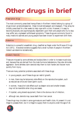# **Other drugs in brief**

### *Prescription drugs*

The most commonly prescribed tranquillisers in Northern Ireland belong to a group of drugs known as benzodiazepines - these include temazepam and diazepam. They amay be initially prescribed for a few weeks to help cope with a crisis. However, it is easy to become physically and psychologically dependent upon them and people who try to stop may suffer very unpleasant withdrawal symptoms. These drugs are commonly found in many medicine cabinets and young people have been known to experiment with them.

### *Ketamine*

Ketamine is a powerful anaesthetic drug, classified as illegal under the Misuse of Drugs Act (1971). Anecdotal evidence suggests that a small number of people in Northern Ireland use ketamine recreationally.

*Anabolic Steroids*

These are misused by some athletes and bodybuilders in order to increase muscle size, and, because they are derived from the male hormone testosterone, they also stimulate aggression. Some athletes claim steroids help them to train harder and recover more quickly from injury.

There are many potential problems associated with these drugs:

- in young people, use of these drugs can restrict growth;
- in men, there may be temporary side effects on the reproductive system, such as reduced sex drive and lower sperm count;
- in women, 'masculine' side effects such as deeper voice and smaller breasts may not be reversible when drug use ceases;
- if injected, using shared equipment, there is the obvious risk of infection;
- although rare, steroids may cause death from liver cancer.

These drugs may circulate in some gymnasiums and health clubs. At present it is not illegal to possess them, but it is illegal to supply them to anyone under the age of 18.

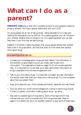# **What can I do as a parent?**

**PARENTS CAN** play a vital role in preventing harm to young people caused by drugs or solvents. You have a special relationship with your child.

All young people are at risk of taking drugs - being tempted to try is easy and resisting the temptations can be difficult. As a parent/guardian you can influence your children whether they try drugs or not. As a parent/guardian you can also help them if you find they are taking drugs.

Research in Northern Ireland has shown that young people believe their parents have a role in drug education, and that they want to know what their parents think about drugs.

### *As a parent/guardian you can:*

- Increase your knowledge about drugs and their effects. The information in this booklet is a good beginning but you might want to get more information. The organisations listed on pages 21-22 can provide specialist help. It is important to try and stay up-to-date, and further information on drugs is available online at www.drugsalcohol.info
- Talk to your child about drugs. It is important to present accurate information. You should make clear what your views are on taking drugs. Try to be consistent about how you present them.
- Keep up-to-date with your child's interests and friends especially any new friends.
- Find out what your child's school/college/club is doing to tackle drug misuse. If there is a parent information meeting about drugs - go along.
- Stay alert to possible signs of drug taking. Some of the signs which may indicate that your child is involved with illicit drugs have been listed on page 6. As a parent you are in an excellent position to spot some of these signs.

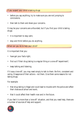*If you suspect your child is taking drugs:*

- before you say anything, try to make sure you are not jumping to conclusions;
- then talk to them and share your concerns.

It may be your concerns are unfounded, but if you find your child is taking drugs:

- it is important to stay calm;
- stop and think before you do anything.

*What can you do to help your child?*

It is important that you:

- have got your facts right;
- find out if their drug taking is a regular thing or a one-off 'experiment';
- keep talking and listening.

If it was a 'one-off,' you may need simply to talk to them. Be firm, consistent and caring. Disapprove of their actions - not them. Give them some reasons for not taking drugs.

For example:

- that drug taking is illegal and could lead to trouble with the police and affect their chances at school and work;
- that it could affect their health now and in the future.

If you feel it is more than a 'one-off' situation, and that you need help, there are a number of sources of help and support.

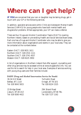# **Where can I get help?**

**IF YOU** are concerned that your son or daughter may be taking drugs, get in touch with your GP or the following services.

In addition, specialist services exist within Child and Adolescent Mental Health Services (CAMHS) for young people who have both mental health and drug/alcohol problems. Where appropriate, your GP can make a referral.

There are four Drugs and Alcohol Coordination Teams (DACTs) covering Northern Ireland, based on pre-existing Health and Social Services Board areas. Each one has a Drugs and Alcohol Coordinator who may be able to give you more information about organisations and events in your local area. They can be contacted at the numbers below:

Eastern DACT: 028 9031 1611 Northern DACT: 028 2531 1111 Southern DACT: 028 3741 4557 Western DACT: 028 8225 3950

A list of organisations in Northern Ireland that offer support, counselling and other drug services may be accessed online at www.drugsalcohol.info. You can use this list to search for help in your local area. Examples of services working with young drug users and their families include:

#### **DAISY (Drug and Alcohol Intervention Service for Youth)**

30-34 Hill Street Belfast, BT1 2LB Tel: 028 9043 5815

23 Bridge Street Lisburn, BT28 1XZ Tel: 028 9260 4422

7a Dublin Road Omagh, BT78 1ES Tel: 028 8224 1525

29A Strand Road Londonderry, BT48 7BL Tel: 028 7137 1162

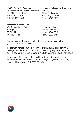**FASA (Forum for Action on Substance Abuse/Suicide Awareness)** 178-180 Shankill Road Belfast, BT13 2BH Tel: 028 9080 3040

**Dunlewey Substance Advice Centre (NI Ltd)** 80 Broughshane Street Ballymena, BT43 6ED Tel: 028 2565 2105

#### **Opportunity Youth - CHILL**

21a Railway Street (2nd Floor) Armagh, BT61 7HP Tel: 028 3752 5481

Mount Zion House 53 Edward Street Lurgan, BT66 6DB Tel: 028 3832 2714

For some parents it may be useful to discuss their concerns with teachers, youth workers or probation officers.

There are an increasing number of community organisations and programmes dealing with all the issues involved in drug misuse. They may well advertise their services locally, and your local Drugs and Alcohol Coordinator may also have details.

In addition, information on drugs and local drug services, advice and help can be obtained from the National Drugs Helpline (Frank), which offers a free, 24 hour confidential service. Tel: 0800 77 66 00.

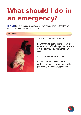# **What should I do in an emergency?**

**IF YOU** find a young person drowsy or unconscious it's important that you know what to do. It could save their life.

### *You should:*



1. Make sure they've got fresh air.

2. Turn them on their side and try not to leave them alone (this is important because if they are sick they may inhale their own vomit).

3. Dial 999 and ask for an ambulance.

4. If you find any powders, tablets or anything else that may suggest drug taking give them to the ambulance personnel.

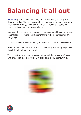# **Balancing it all out**

**BEING A** parent has never been easy - at the same time growing up isn't always easy either. There are many conflicting pressures on young people, eg to be an individual and yet to be 'one of the gang'. They have a need to be independent and make their own decisions.

As a parent it is important to understand these pressures, which can sometimes become reasons for young people experimenting with, and perhaps regularly using drugs.

The care, support and understanding of parents at this time is especially vital.

If you suspect or are concerned that your son or daughter is using illegal drugs do not delay in getting help or advice.

This booklet contains information and text formerly in the booklets *Drugs what every parent should know* and *Drugs and solvents - you and your child.*



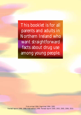This booklet is for all parents and adults in Northern Ireland who want straightforward facts about drug use among young people.

First printed 1994. Reprinted 1994, 1995. Revised reprint 1996, 1998. New edition 1998. Revised reprint 2000, 2003, 2005, 2006, 2010.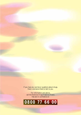If you have any worries or questions about drugs, there is someone there to talk to you.

For information and advice, call the National Drugs Helpline (Frank) free and in confidence on